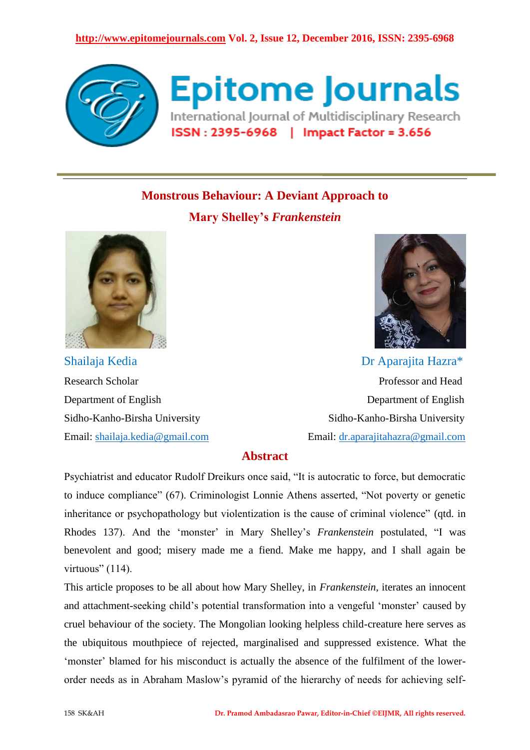

**Epitome Journals** International Journal of Multidisciplinary Research ISSN: 2395-6968 | Impact Factor = 3.656

# **Monstrous Behaviour: A Deviant Approach to**

**Mary Shelley's** *Frankenstein*





Shailaja Kedia **Dr Aparajita Hazra\*** Research Scholar **Professor and Head** Department of English Department of English Sidho-Kanho-Birsha University Sidho-Kanho-Birsha University Email: [shailaja.kedia@gmail.com](mailto:shailaja.kedia@gmail.com) Email: [dr.aparajitahazra@gmail.com](mailto:dr.aparajitahazra@gmail.com)

## **Abstract**

Psychiatrist and educator Rudolf Dreikurs once said, "It is autocratic to force, but democratic to induce compliance" (67). Criminologist Lonnie Athens asserted, "Not poverty or genetic inheritance or psychopathology but violentization is the cause of criminal violence" (qtd. in Rhodes 137). And the 'monster' in Mary Shelley's *Frankenstein* postulated, "I was benevolent and good; misery made me a fiend. Make me happy, and I shall again be virtuous"  $(114)$ .

This article proposes to be all about how Mary Shelley, in *Frankenstein,* iterates an innocent and attachment-seeking child's potential transformation into a vengeful 'monster' caused by cruel behaviour of the society. The Mongolian looking helpless child-creature here serves as the ubiquitous mouthpiece of rejected, marginalised and suppressed existence. What the ‗monster' blamed for his misconduct is actually the absence of the fulfilment of the lowerorder needs as in Abraham Maslow's pyramid of the hierarchy of needs for achieving self-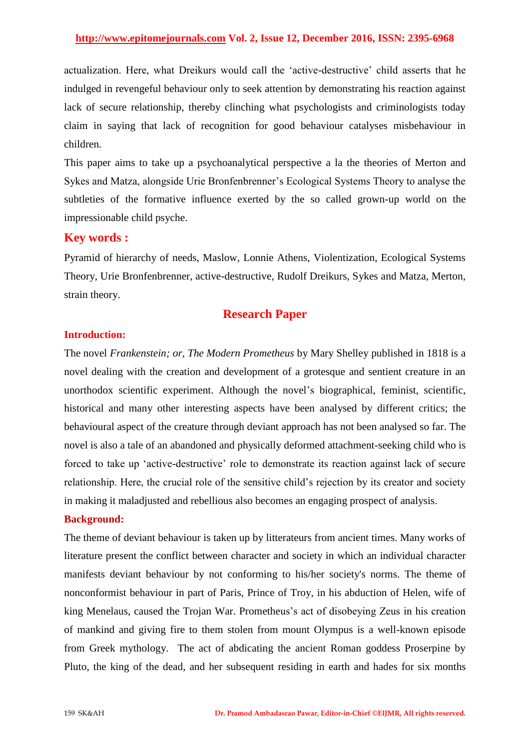actualization. Here, what Dreikurs would call the ‗active-destructive' child asserts that he indulged in revengeful behaviour only to seek attention by demonstrating his reaction against lack of secure relationship, thereby clinching what psychologists and criminologists today claim in saying that lack of recognition for good behaviour catalyses misbehaviour in children.

This paper aims to take up a psychoanalytical perspective a la the theories of Merton and Sykes and Matza, alongside Urie Bronfenbrenner's Ecological Systems Theory to analyse the subtleties of the formative influence exerted by the so called grown-up world on the impressionable child psyche.

## **Key words :**

Pyramid of hierarchy of needs, Maslow, Lonnie Athens, Violentization, Ecological Systems Theory, Urie Bronfenbrenner, active-destructive, Rudolf Dreikurs, Sykes and Matza, Merton, strain theory.

## **Research Paper**

#### **Introduction:**

The novel *Frankenstein; or, The Modern Prometheus* by Mary Shelley published in 1818 is a novel dealing with the creation and development of a grotesque and sentient creature in an unorthodox scientific experiment. Although the novel's biographical, feminist, scientific, historical and many other interesting aspects have been analysed by different critics; the behavioural aspect of the creature through deviant approach has not been analysed so far. The novel is also a tale of an abandoned and physically deformed attachment-seeking child who is forced to take up 'active-destructive' role to demonstrate its reaction against lack of secure relationship. Here, the crucial role of the sensitive child's rejection by its creator and society in making it maladjusted and rebellious also becomes an engaging prospect of analysis.

#### **Background:**

The theme of deviant behaviour is taken up by litterateurs from ancient times. Many works of literature present the conflict between character and society in which an individual character manifests deviant behaviour by not conforming to his/her society's norms. The theme of nonconformist behaviour in part of Paris, Prince of Troy, in his abduction of Helen, wife of king Menelaus, caused the Trojan War. Prometheus's act of disobeying Zeus in his creation of mankind and giving fire to them stolen from mount Olympus is a well-known episode from Greek mythology. The act of abdicating the ancient Roman goddess Proserpine by Pluto, the king of the dead, and her subsequent residing in earth and hades for six months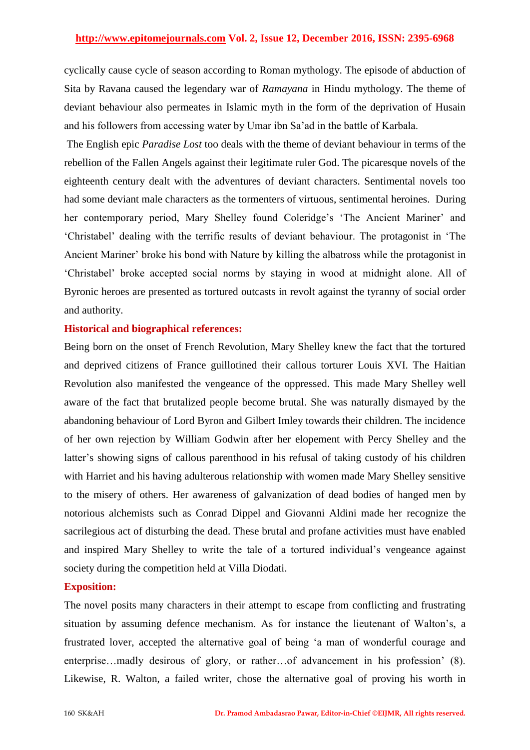cyclically cause cycle of season according to Roman mythology. The episode of abduction of Sita by Ravana caused the legendary war of *Ramayana* in Hindu mythology. The theme of deviant behaviour also permeates in Islamic myth in the form of the deprivation of Husain and his followers from accessing water by Umar ibn Sa'ad in the battle of Karbala.

The English epic *Paradise Lost* too deals with the theme of deviant behaviour in terms of the rebellion of the Fallen Angels against their legitimate ruler God. The picaresque novels of the eighteenth century dealt with the adventures of deviant characters. Sentimental novels too had some deviant male characters as the tormenters of virtuous, sentimental heroines. During her contemporary period, Mary Shelley found Coleridge's 'The Ancient Mariner' and ‗Christabel' dealing with the terrific results of deviant behaviour. The protagonist in ‗The Ancient Mariner' broke his bond with Nature by killing the albatross while the protagonist in ‗Christabel' broke accepted social norms by staying in wood at midnight alone. All of Byronic heroes are presented as tortured outcasts in revolt against the tyranny of social order and authority.

### **Historical and biographical references:**

Being born on the onset of French Revolution, Mary Shelley knew the fact that the tortured and deprived citizens of France guillotined their callous torturer Louis XVI. The Haitian Revolution also manifested the vengeance of the oppressed. This made Mary Shelley well aware of the fact that brutalized people become brutal. She was naturally dismayed by the abandoning behaviour of Lord Byron and Gilbert Imley towards their children. The incidence of her own rejection by William Godwin after her elopement with Percy Shelley and the latter's showing signs of callous parenthood in his refusal of taking custody of his children with Harriet and his having adulterous relationship with women made Mary Shelley sensitive to the misery of others. Her awareness of galvanization of dead bodies of hanged men by notorious alchemists such as Conrad Dippel and Giovanni Aldini made her recognize the sacrilegious act of disturbing the dead. These brutal and profane activities must have enabled and inspired Mary Shelley to write the tale of a tortured individual's vengeance against society during the competition held at Villa Diodati.

#### **Exposition:**

The novel posits many characters in their attempt to escape from conflicting and frustrating situation by assuming defence mechanism. As for instance the lieutenant of Walton's, a frustrated lover, accepted the alternative goal of being ‗a man of wonderful courage and enterprise…madly desirous of glory, or rather…of advancement in his profession' (8). Likewise, R. Walton, a failed writer, chose the alternative goal of proving his worth in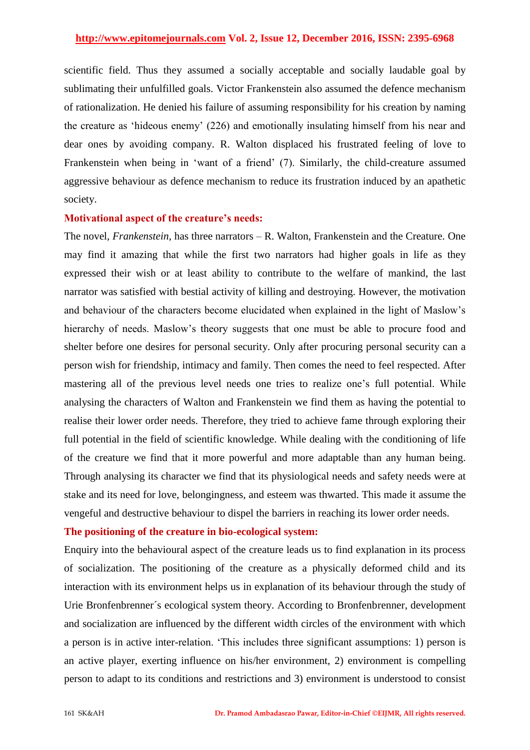scientific field. Thus they assumed a socially acceptable and socially laudable goal by sublimating their unfulfilled goals. Victor Frankenstein also assumed the defence mechanism of rationalization. He denied his failure of assuming responsibility for his creation by naming the creature as 'hideous enemy' (226) and emotionally insulating himself from his near and dear ones by avoiding company. R. Walton displaced his frustrated feeling of love to Frankenstein when being in 'want of a friend' (7). Similarly, the child-creature assumed aggressive behaviour as defence mechanism to reduce its frustration induced by an apathetic society.

#### **Motivational aspect of the creature's needs:**

The novel, *Frankenstein*, has three narrators – R. Walton, Frankenstein and the Creature. One may find it amazing that while the first two narrators had higher goals in life as they expressed their wish or at least ability to contribute to the welfare of mankind, the last narrator was satisfied with bestial activity of killing and destroying. However, the motivation and behaviour of the characters become elucidated when explained in the light of Maslow's hierarchy of needs. Maslow's theory suggests that one must be able to procure food and shelter before one desires for personal security. Only after procuring personal security can a person wish for friendship, intimacy and family. Then comes the need to feel respected. After mastering all of the previous level needs one tries to realize one's full potential. While analysing the characters of Walton and Frankenstein we find them as having the potential to realise their lower order needs. Therefore, they tried to achieve fame through exploring their full potential in the field of scientific knowledge. While dealing with the conditioning of life of the creature we find that it more powerful and more adaptable than any human being. Through analysing its character we find that its physiological needs and safety needs were at stake and its need for love, belongingness, and esteem was thwarted. This made it assume the vengeful and destructive behaviour to dispel the barriers in reaching its lower order needs.

#### **The positioning of the creature in bio-ecological system:**

Enquiry into the behavioural aspect of the creature leads us to find explanation in its process of socialization. The positioning of the creature as a physically deformed child and its interaction with its environment helps us in explanation of its behaviour through the study of Urie Bronfenbrenner´s ecological system theory. According to Bronfenbrenner, development and socialization are influenced by the different width circles of the environment with which a person is in active inter-relation. This includes three significant assumptions: 1) person is an active player, exerting influence on his/her environment, 2) environment is compelling person to adapt to its conditions and restrictions and 3) environment is understood to consist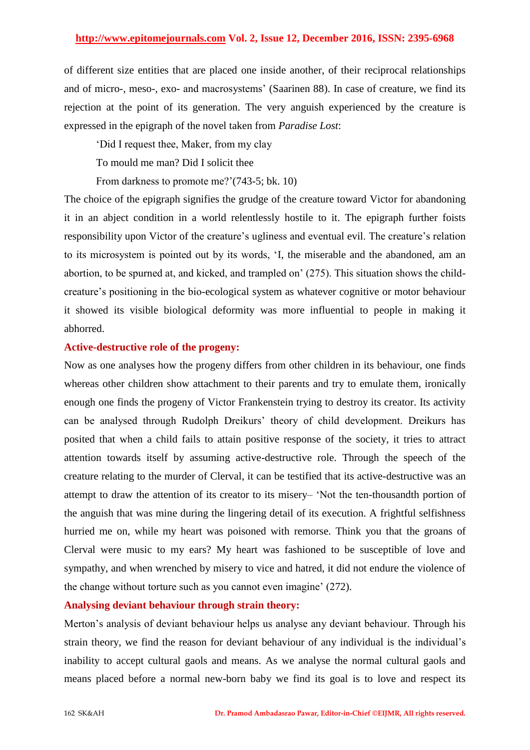of different size entities that are placed one inside another, of their reciprocal relationships and of micro-, meso-, exo- and macrosystems' (Saarinen 88). In case of creature, we find its rejection at the point of its generation. The very anguish experienced by the creature is expressed in the epigraph of the novel taken from *Paradise Lost*:

‗Did I request thee, Maker, from my clay

To mould me man? Did I solicit thee

From darkness to promote me?'(743-5; bk. 10)

The choice of the epigraph signifies the grudge of the creature toward Victor for abandoning it in an abject condition in a world relentlessly hostile to it. The epigraph further foists responsibility upon Victor of the creature's ugliness and eventual evil. The creature's relation to its microsystem is pointed out by its words, ‗I, the miserable and the abandoned, am an abortion, to be spurned at, and kicked, and trampled on' (275). This situation shows the childcreature's positioning in the bio-ecological system as whatever cognitive or motor behaviour it showed its visible biological deformity was more influential to people in making it abhorred.

#### **Active-destructive role of the progeny:**

Now as one analyses how the progeny differs from other children in its behaviour, one finds whereas other children show attachment to their parents and try to emulate them, ironically enough one finds the progeny of Victor Frankenstein trying to destroy its creator. Its activity can be analysed through Rudolph Dreikurs' theory of child development. Dreikurs has posited that when a child fails to attain positive response of the society, it tries to attract attention towards itself by assuming active-destructive role. Through the speech of the creature relating to the murder of Clerval, it can be testified that its active-destructive was an attempt to draw the attention of its creator to its misery– ‗Not the ten-thousandth portion of the anguish that was mine during the lingering detail of its execution. A frightful selfishness hurried me on, while my heart was poisoned with remorse. Think you that the groans of Clerval were music to my ears? My heart was fashioned to be susceptible of love and sympathy, and when wrenched by misery to vice and hatred, it did not endure the violence of the change without torture such as you cannot even imagine' (272).

#### **Analysing deviant behaviour through strain theory:**

Merton's analysis of deviant behaviour helps us analyse any deviant behaviour. Through his strain theory, we find the reason for deviant behaviour of any individual is the individual's inability to accept cultural gaols and means. As we analyse the normal cultural gaols and means placed before a normal new-born baby we find its goal is to love and respect its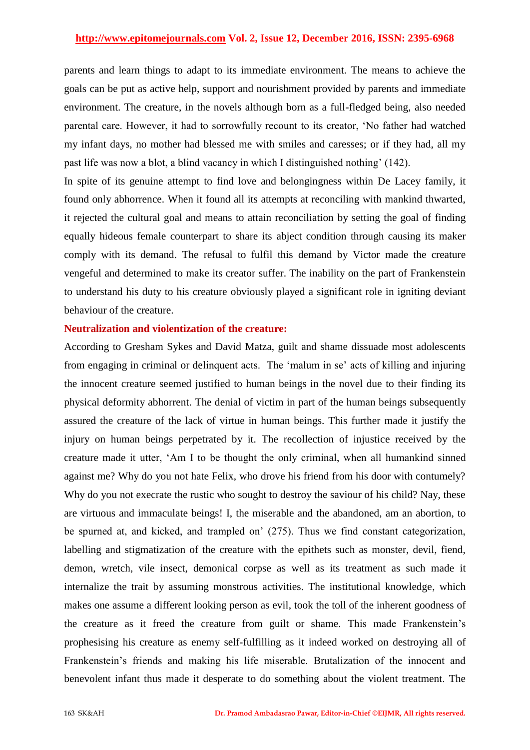parents and learn things to adapt to its immediate environment. The means to achieve the goals can be put as active help, support and nourishment provided by parents and immediate environment. The creature, in the novels although born as a full-fledged being, also needed parental care. However, it had to sorrowfully recount to its creator, 'No father had watched my infant days, no mother had blessed me with smiles and caresses; or if they had, all my past life was now a blot, a blind vacancy in which I distinguished nothing' (142).

In spite of its genuine attempt to find love and belongingness within De Lacey family, it found only abhorrence. When it found all its attempts at reconciling with mankind thwarted, it rejected the cultural goal and means to attain reconciliation by setting the goal of finding equally hideous female counterpart to share its abject condition through causing its maker comply with its demand. The refusal to fulfil this demand by Victor made the creature vengeful and determined to make its creator suffer. The inability on the part of Frankenstein to understand his duty to his creature obviously played a significant role in igniting deviant behaviour of the creature.

#### **Neutralization and violentization of the creature:**

According to Gresham Sykes and David Matza, guilt and shame dissuade most adolescents from engaging in criminal or delinquent acts. The 'malum in se' acts of killing and injuring the innocent creature seemed justified to human beings in the novel due to their finding its physical deformity abhorrent. The denial of victim in part of the human beings subsequently assured the creature of the lack of virtue in human beings. This further made it justify the injury on human beings perpetrated by it. The recollection of injustice received by the creature made it utter, ‗Am I to be thought the only criminal, when all humankind sinned against me? Why do you not hate Felix, who drove his friend from his door with contumely? Why do you not execrate the rustic who sought to destroy the saviour of his child? Nay, these are virtuous and immaculate beings! I, the miserable and the abandoned, am an abortion, to be spurned at, and kicked, and trampled on' (275). Thus we find constant categorization, labelling and stigmatization of the creature with the epithets such as monster, devil, fiend, demon, wretch, vile insect, demonical corpse as well as its treatment as such made it internalize the trait by assuming monstrous activities. The institutional knowledge, which makes one assume a different looking person as evil, took the toll of the inherent goodness of the creature as it freed the creature from guilt or shame. This made Frankenstein's prophesising his creature as enemy self-fulfilling as it indeed worked on destroying all of Frankenstein's friends and making his life miserable. Brutalization of the innocent and benevolent infant thus made it desperate to do something about the violent treatment. The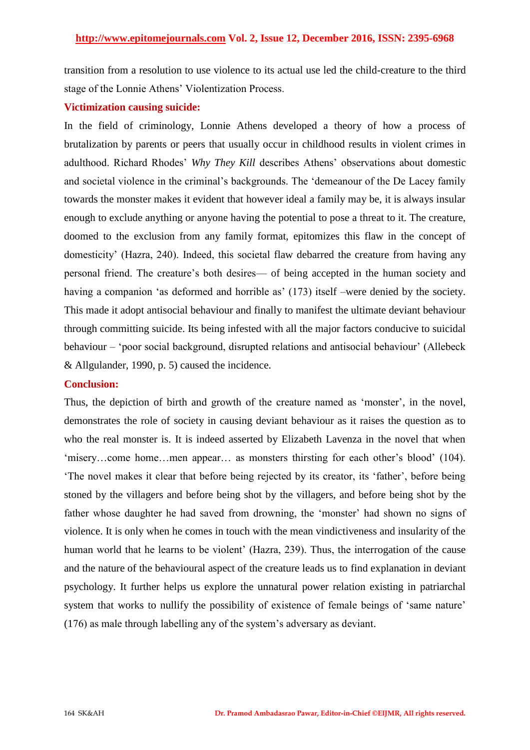transition from a resolution to use violence to its actual use led the child-creature to the third stage of the Lonnie Athens' Violentization Process.

#### **Victimization causing suicide:**

In the field of criminology, Lonnie Athens developed a theory of how a process of brutalization by parents or peers that usually occur in childhood results in violent crimes in adulthood. Richard Rhodes' *Why They Kill* describes Athens' observations about domestic and societal violence in the criminal's backgrounds. The 'demeanour of the De Lacey family towards the monster makes it evident that however ideal a family may be, it is always insular enough to exclude anything or anyone having the potential to pose a threat to it. The creature, doomed to the exclusion from any family format, epitomizes this flaw in the concept of domesticity' (Hazra, 240). Indeed, this societal flaw debarred the creature from having any personal friend. The creature's both desires— of being accepted in the human society and having a companion 'as deformed and horrible as' (173) itself –were denied by the society. This made it adopt antisocial behaviour and finally to manifest the ultimate deviant behaviour through committing suicide. Its being infested with all the major factors conducive to suicidal behaviour – 'poor social background, disrupted relations and antisocial behaviour' (Allebeck & Allgulander, 1990, p. 5) caused the incidence.

#### **Conclusion:**

Thus, the depiction of birth and growth of the creature named as 'monster', in the novel, demonstrates the role of society in causing deviant behaviour as it raises the question as to who the real monster is. It is indeed asserted by Elizabeth Lavenza in the novel that when ‗misery…come home…men appear… as monsters thirsting for each other's blood' (104). ‗The novel makes it clear that before being rejected by its creator, its ‗father', before being stoned by the villagers and before being shot by the villagers, and before being shot by the father whose daughter he had saved from drowning, the 'monster' had shown no signs of violence. It is only when he comes in touch with the mean vindictiveness and insularity of the human world that he learns to be violent' (Hazra, 239). Thus, the interrogation of the cause and the nature of the behavioural aspect of the creature leads us to find explanation in deviant psychology. It further helps us explore the unnatural power relation existing in patriarchal system that works to nullify the possibility of existence of female beings of 'same nature' (176) as male through labelling any of the system's adversary as deviant.